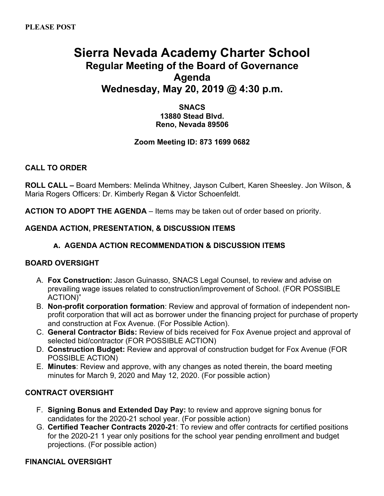# **Sierra Nevada Academy Charter School Regular Meeting of the Board of Governance Agenda Wednesday, May 20, 2019 @ 4:30 p.m.**

**SNACS 13880 Stead Blvd. Reno, Nevada 89506**

## **Zoom Meeting ID: 873 1699 0682**

## **CALL TO ORDER**

**ROLL CALL –** Board Members: Melinda Whitney, Jayson Culbert, Karen Sheesley. Jon Wilson, & Maria Rogers Officers: Dr. Kimberly Regan & Victor Schoenfeldt.

**ACTION TO ADOPT THE AGENDA** – Items may be taken out of order based on priority.

#### **AGENDA ACTION, PRESENTATION, & DISCUSSION ITEMS**

### **A. AGENDA ACTION RECOMMENDATION & DISCUSSION ITEMS**

#### **BOARD OVERSIGHT**

- A. **Fox Construction:** Jason Guinasso, SNACS Legal Counsel, to review and advise on prevailing wage issues related to construction/improvement of School. (FOR POSSIBLE ACTION)"
- B. **Non-profit corporation formation**: Review and approval of formation of independent nonprofit corporation that will act as borrower under the financing project for purchase of property and construction at Fox Avenue. (For Possible Action).
- C. **General Contractor Bids:** Review of bids received for Fox Avenue project and approval of selected bid/contractor (FOR POSSIBLE ACTION)
- D. **Construction Budget:** Review and approval of construction budget for Fox Avenue (FOR POSSIBLE ACTION)
- E. **Minutes**: Review and approve, with any changes as noted therein, the board meeting minutes for March 9, 2020 and May 12, 2020. (For possible action)

#### **CONTRACT OVERSIGHT**

- F. **Signing Bonus and Extended Day Pay:** to review and approve signing bonus for candidates for the 2020-21 school year. (For possible action)
- G. **Certified Teacher Contracts 2020-21**: To review and offer contracts for certified positions for the 2020-21 1 year only positions for the school year pending enrollment and budget projections. (For possible action)

#### **FINANCIAL OVERSIGHT**